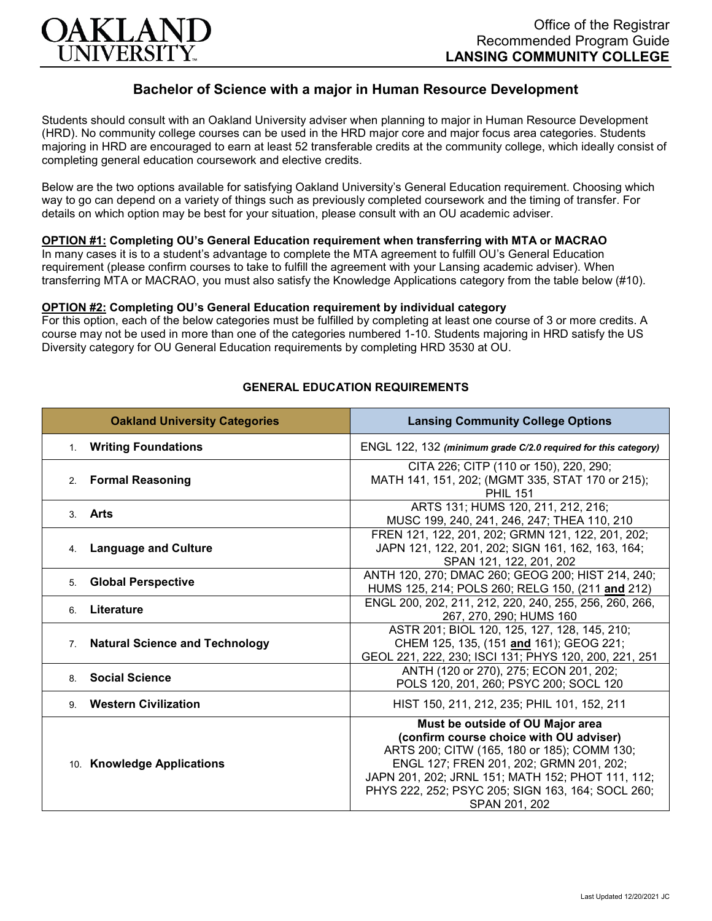

# **Bachelor of Science with a major in Human Resource Development**

Students should consult with an Oakland University adviser when planning to major in Human Resource Development (HRD). No community college courses can be used in the HRD major core and major focus area categories. Students majoring in HRD are encouraged to earn at least 52 transferable credits at the community college, which ideally consist of completing general education coursework and elective credits.

Below are the two options available for satisfying Oakland University's General Education requirement. Choosing which way to go can depend on a variety of things such as previously completed coursework and the timing of transfer. For details on which option may be best for your situation, please consult with an OU academic adviser.

## **OPTION #1: Completing OU's General Education requirement when transferring with MTA or MACRAO**

In many cases it is to a student's advantage to complete the MTA agreement to fulfill OU's General Education requirement (please confirm courses to take to fulfill the agreement with your Lansing academic adviser). When transferring MTA or MACRAO, you must also satisfy the Knowledge Applications category from the table below (#10).

#### **OPTION #2: Completing OU's General Education requirement by individual category**

For this option, each of the below categories must be fulfilled by completing at least one course of 3 or more credits. A course may not be used in more than one of the categories numbered 1-10. Students majoring in HRD satisfy the US Diversity category for OU General Education requirements by completing HRD 3530 at OU.

| <b>Oakland University Categories</b>                    | <b>Lansing Community College Options</b>                                                                                                                                                                                                                                                         |
|---------------------------------------------------------|--------------------------------------------------------------------------------------------------------------------------------------------------------------------------------------------------------------------------------------------------------------------------------------------------|
| 1. Writing Foundations                                  | ENGL 122, 132 (minimum grade C/2.0 required for this category)                                                                                                                                                                                                                                   |
| <b>Formal Reasoning</b><br>2 <sup>2</sup>               | CITA 226; CITP (110 or 150), 220, 290;<br>MATH 141, 151, 202; (MGMT 335, STAT 170 or 215);<br><b>PHIL 151</b>                                                                                                                                                                                    |
| Arts<br>$\mathbf{3}$                                    | ARTS 131; HUMS 120, 211, 212, 216;<br>MUSC 199, 240, 241, 246, 247; THEA 110, 210                                                                                                                                                                                                                |
| <b>Language and Culture</b><br>4.                       | FREN 121, 122, 201, 202; GRMN 121, 122, 201, 202;<br>JAPN 121, 122, 201, 202; SIGN 161, 162, 163, 164;<br>SPAN 121, 122, 201, 202                                                                                                                                                                |
| <b>Global Perspective</b><br>5.                         | ANTH 120, 270; DMAC 260; GEOG 200; HIST 214, 240;<br>HUMS 125, 214; POLS 260; RELG 150, (211 and 212)                                                                                                                                                                                            |
| Literature<br>6.                                        | ENGL 200, 202, 211, 212, 220, 240, 255, 256, 260, 266,<br>267, 270, 290; HUMS 160                                                                                                                                                                                                                |
| <b>Natural Science and Technology</b><br>7 <sup>1</sup> | ASTR 201; BIOL 120, 125, 127, 128, 145, 210;<br>CHEM 125, 135, (151 and 161); GEOG 221;<br>GEOL 221, 222, 230; ISCI 131; PHYS 120, 200, 221, 251                                                                                                                                                 |
| <b>Social Science</b><br>8                              | ANTH (120 or 270), 275; ECON 201, 202;<br>POLS 120, 201, 260; PSYC 200; SOCL 120                                                                                                                                                                                                                 |
| 9. Western Civilization                                 | HIST 150, 211, 212, 235; PHIL 101, 152, 211                                                                                                                                                                                                                                                      |
| 10. Knowledge Applications                              | Must be outside of OU Major area<br>(confirm course choice with OU adviser)<br>ARTS 200; CITW (165, 180 or 185); COMM 130;<br>ENGL 127; FREN 201, 202; GRMN 201, 202;<br>JAPN 201, 202; JRNL 151; MATH 152; PHOT 111, 112;<br>PHYS 222, 252; PSYC 205; SIGN 163, 164; SOCL 260;<br>SPAN 201, 202 |

## **GENERAL EDUCATION REQUIREMENTS**